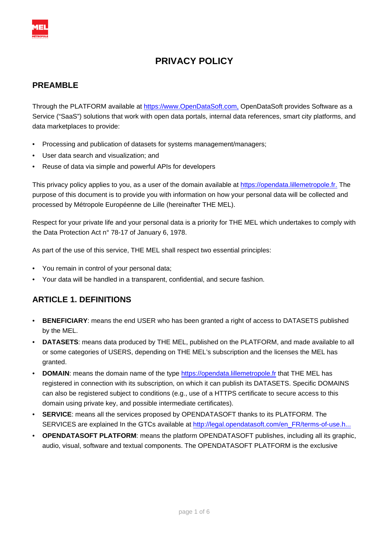

# **PRIVACY POLICY**

#### **PREAMBLE**

Through the PLATFORM available at <https://www.OpenDataSoft.com,> OpenDataSoft provides Software as a Service ("SaaS") solutions that work with open data portals, internal data references, smart city platforms, and data marketplaces to provide:

- Processing and publication of datasets for systems management/managers;
- User data search and visualization; and
- Reuse of data via simple and powerful APIs for developers

This privacy policy applies to you, as a user of the domain available at <https://opendata.lillemetropole.fr.> The purpose of this document is to provide you with information on how your personal data will be collected and processed by Métropole Européenne de Lille (hereinafter THE MEL).

Respect for your private life and your personal data is a priority for THE MEL which undertakes to comply with the Data Protection Act n° 78-17 of January 6, 1978.

As part of the use of this service, THE MEL shall respect two essential principles:

- You remain in control of your personal data;
- Your data will be handled in a transparent, confidential, and secure fashion.

# **ARTICLE 1. DEFINITIONS**

- **BENEFICIARY**: means the end USER who has been granted a right of access to DATASETS published by the MEL.
- **DATASETS**: means data produced by THE MEL, published on the PLATFORM, and made available to all or some categories of USERS, depending on THE MEL's subscription and the licenses the MEL has granted.
- **DOMAIN:** means the domain name of the type <https://opendata.lillemetropole.fr>that THE MEL has registered in connection with its subscription, on which it can publish its DATASETS. Specific DOMAINS can also be registered subject to conditions (e.g., use of a HTTPS certificate to secure access to this domain using private key, and possible intermediate certificates).
- **SERVICE**: means all the services proposed by OPENDATASOFT thanks to its PLATFORM. The SERVICES are explained In the GTCs available at [http://legal.opendatasoft.com/en\\_FR/terms-of-use.h...](http://legal.opendatasoft.com/en_FR/terms-of-use.html.)
- **OPENDATASOFT PLATFORM**: means the platform OPENDATASOFT publishes, including all its graphic, audio, visual, software and textual components. The OPENDATASOFT PLATFORM is the exclusive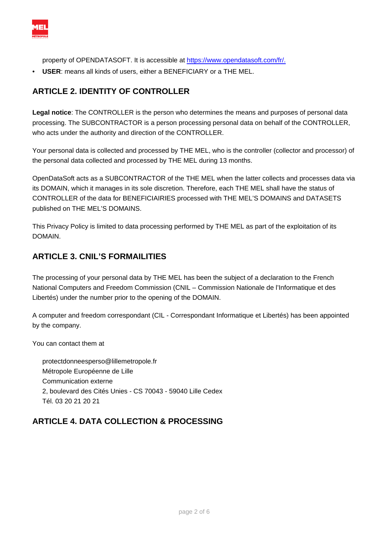

property of OPENDATASOFT. It is accessible at<https://www.opendatasoft.com/fr/.>

• **USER**: means all kinds of users, either a BENEFICIARY or a THE MEL.

#### **ARTICLE 2. IDENTITY OF CONTROLLER**

**Legal notice**: The CONTROLLER is the person who determines the means and purposes of personal data processing. The SUBCONTRACTOR is a person processing personal data on behalf of the CONTROLLER, who acts under the authority and direction of the CONTROLLER.

Your personal data is collected and processed by THE MEL, who is the controller (collector and processor) of the personal data collected and processed by THE MEL during 13 months.

OpenDataSoft acts as a SUBCONTRACTOR of the THE MEL when the latter collects and processes data via its DOMAIN, which it manages in its sole discretion. Therefore, each THE MEL shall have the status of CONTROLLER of the data for BENEFICIAIRIES processed with THE MEL'S DOMAINS and DATASETS published on THE MEL'S DOMAINS.

This Privacy Policy is limited to data processing performed by THE MEL as part of the exploitation of its DOMAIN.

#### **ARTICLE 3. CNIL'S FORMAILITIES**

The processing of your personal data by THE MEL has been the subject of a declaration to the French National Computers and Freedom Commission (CNIL – Commission Nationale de l'Informatique et des Libertés) under the number prior to the opening of the DOMAIN.

A computer and freedom correspondant (CIL - Correspondant Informatique et Libertés) has been appointed by the company.

You can contact them at

protectdonneesperso@lillemetropole.fr Métropole Européenne de Lille Communication externe 2, boulevard des Cités Unies - CS 70043 - 59040 Lille Cedex Tél. 03 20 21 20 21

### **ARTICLE 4. DATA COLLECTION & PROCESSING**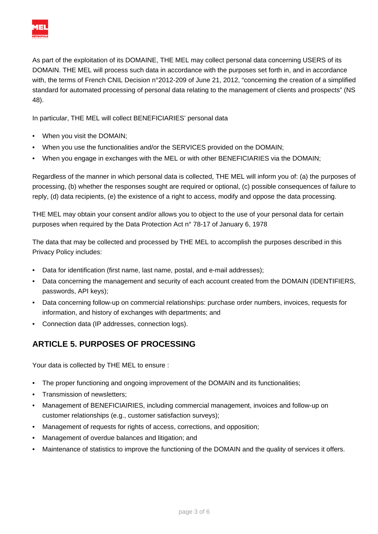

As part of the exploitation of its DOMAINE, THE MEL may collect personal data concerning USERS of its DOMAIN. THE MEL will process such data in accordance with the purposes set forth in, and in accordance with, the terms of French CNIL Decision n°2012-209 of June 21, 2012, "concerning the creation of a simplified standard for automated processing of personal data relating to the management of clients and prospects" (NS 48).

In particular, THE MEL will collect BENEFICIARIES' personal data

- When you visit the DOMAIN;
- When you use the functionalities and/or the SERVICES provided on the DOMAIN;
- When you engage in exchanges with the MEL or with other BENEFICIARIES via the DOMAIN;

Regardless of the manner in which personal data is collected, THE MEL will inform you of: (a) the purposes of processing, (b) whether the responses sought are required or optional, (c) possible consequences of failure to reply, (d) data recipients, (e) the existence of a right to access, modify and oppose the data processing.

THE MEL may obtain your consent and/or allows you to object to the use of your personal data for certain purposes when required by the Data Protection Act n° 78-17 of January 6, 1978

The data that may be collected and processed by THE MEL to accomplish the purposes described in this Privacy Policy includes:

- Data for identification (first name, last name, postal, and e-mail addresses);
- Data concerning the management and security of each account created from the DOMAIN (IDENTIFIERS, passwords, API keys);
- Data concerning follow-up on commercial relationships: purchase order numbers, invoices, requests for information, and history of exchanges with departments; and
- Connection data (IP addresses, connection logs).

# **ARTICLE 5. PURPOSES OF PROCESSING**

Your data is collected by THE MEL to ensure :

- The proper functioning and ongoing improvement of the DOMAIN and its functionalities;
- Transmission of newsletters;
- Management of BENEFICIAIRIES, including commercial management, invoices and follow-up on customer relationships (e.g., customer satisfaction surveys);
- Management of requests for rights of access, corrections, and opposition;
- Management of overdue balances and litigation; and
- Maintenance of statistics to improve the functioning of the DOMAIN and the quality of services it offers.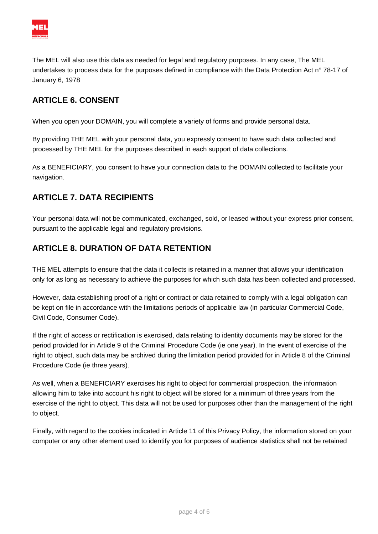

The MEL will also use this data as needed for legal and regulatory purposes. In any case, The MEL undertakes to process data for the purposes defined in compliance with the Data Protection Act n° 78-17 of January 6, 1978

### **ARTICLE 6. CONSENT**

When you open your DOMAIN, you will complete a variety of forms and provide personal data.

By providing THE MEL with your personal data, you expressly consent to have such data collected and processed by THE MEL for the purposes described in each support of data collections.

As a BENEFICIARY, you consent to have your connection data to the DOMAIN collected to facilitate your navigation.

### **ARTICLE 7. DATA RECIPIENTS**

Your personal data will not be communicated, exchanged, sold, or leased without your express prior consent, pursuant to the applicable legal and regulatory provisions.

### **ARTICLE 8. DURATION OF DATA RETENTION**

THE MEL attempts to ensure that the data it collects is retained in a manner that allows your identification only for as long as necessary to achieve the purposes for which such data has been collected and processed.

However, data establishing proof of a right or contract or data retained to comply with a legal obligation can be kept on file in accordance with the limitations periods of applicable law (in particular Commercial Code, Civil Code, Consumer Code).

If the right of access or rectification is exercised, data relating to identity documents may be stored for the period provided for in Article 9 of the Criminal Procedure Code (ie one year). In the event of exercise of the right to object, such data may be archived during the limitation period provided for in Article 8 of the Criminal Procedure Code (ie three years).

As well, when a BENEFICIARY exercises his right to object for commercial prospection, the information allowing him to take into account his right to object will be stored for a minimum of three years from the exercise of the right to object. This data will not be used for purposes other than the management of the right to object.

Finally, with regard to the cookies indicated in Article 11 of this Privacy Policy, the information stored on your computer or any other element used to identify you for purposes of audience statistics shall not be retained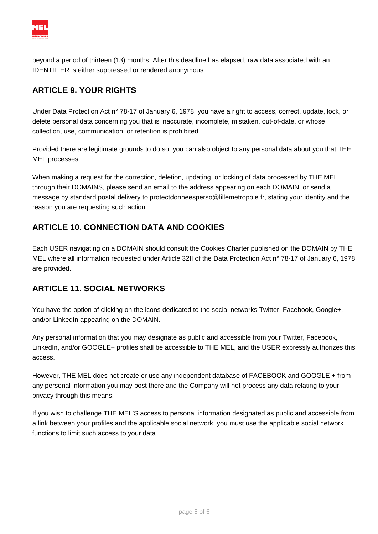

beyond a period of thirteen (13) months. After this deadline has elapsed, raw data associated with an IDENTIFIER is either suppressed or rendered anonymous.

## **ARTICLE 9. YOUR RIGHTS**

Under Data Protection Act n° 78-17 of January 6, 1978, you have a right to access, correct, update, lock, or delete personal data concerning you that is inaccurate, incomplete, mistaken, out-of-date, or whose collection, use, communication, or retention is prohibited.

Provided there are legitimate grounds to do so, you can also object to any personal data about you that THE MEL processes.

When making a request for the correction, deletion, updating, or locking of data processed by THE MEL through their DOMAINS, please send an email to the address appearing on each DOMAIN, or send a message by standard postal delivery to protectdonneesperso@lillemetropole.fr, stating your identity and the reason you are requesting such action.

### **ARTICLE 10. CONNECTION DATA AND COOKIES**

Each USER navigating on a DOMAIN should consult the Cookies Charter published on the DOMAIN by THE MEL where all information requested under Article 32II of the Data Protection Act n° 78-17 of January 6, 1978 are provided.

### **ARTICLE 11. SOCIAL NETWORKS**

You have the option of clicking on the icons dedicated to the social networks Twitter, Facebook, Google+, and/or LinkedIn appearing on the DOMAIN.

Any personal information that you may designate as public and accessible from your Twitter, Facebook, LinkedIn, and/or GOOGLE+ profiles shall be accessible to THE MEL, and the USER expressly authorizes this access.

However, THE MEL does not create or use any independent database of FACEBOOK and GOOGLE + from any personal information you may post there and the Company will not process any data relating to your privacy through this means.

If you wish to challenge THE MEL'S access to personal information designated as public and accessible from a link between your profiles and the applicable social network, you must use the applicable social network functions to limit such access to your data.